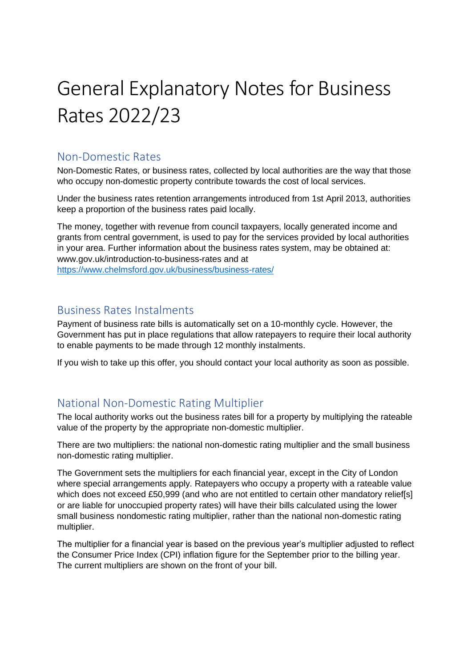# General Explanatory Notes for Business Rates 2022/23

#### Non-Domestic Rates

Non-Domestic Rates, or business rates, collected by local authorities are the way that those who occupy non-domestic property contribute towards the cost of local services.

Under the business rates retention arrangements introduced from 1st April 2013, authorities keep a proportion of the business rates paid locally.

The money, together with revenue from council taxpayers, locally generated income and grants from central government, is used to pay for the services provided by local authorities in your area. Further information about the business rates system, may be obtained at: www.gov.uk/introduction-to-business-rates and at <https://www.chelmsford.gov.uk/business/business-rates/>

#### Business Rates Instalments

Payment of business rate bills is automatically set on a 10-monthly cycle. However, the Government has put in place regulations that allow ratepayers to require their local authority to enable payments to be made through 12 monthly instalments.

If you wish to take up this offer, you should contact your local authority as soon as possible.

## National Non-Domestic Rating Multiplier

The local authority works out the business rates bill for a property by multiplying the rateable value of the property by the appropriate non-domestic multiplier.

There are two multipliers: the national non-domestic rating multiplier and the small business non-domestic rating multiplier.

The Government sets the multipliers for each financial year, except in the City of London where special arrangements apply. Ratepayers who occupy a property with a rateable value which does not exceed £50,999 (and who are not entitled to certain other mandatory relief[s] or are liable for unoccupied property rates) will have their bills calculated using the lower small business nondomestic rating multiplier, rather than the national non-domestic rating multiplier.

The multiplier for a financial year is based on the previous year's multiplier adjusted to reflect the Consumer Price Index (CPI) inflation figure for the September prior to the billing year. The current multipliers are shown on the front of your bill.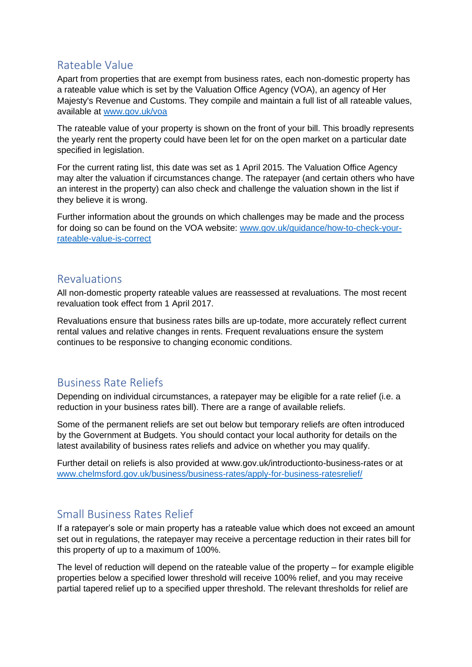## Rateable Value

Apart from properties that are exempt from business rates, each non-domestic property has a rateable value which is set by the Valuation Office Agency (VOA), an agency of Her Majesty's Revenue and Customs. They compile and maintain a full list of all rateable values, available at [www.gov.uk/voa](http://www.gov.uk/voa)

The rateable value of your property is shown on the front of your bill. This broadly represents the yearly rent the property could have been let for on the open market on a particular date specified in legislation.

For the current rating list, this date was set as 1 April 2015. The Valuation Office Agency may alter the valuation if circumstances change. The ratepayer (and certain others who have an interest in the property) can also check and challenge the valuation shown in the list if they believe it is wrong.

Further information about the grounds on which challenges may be made and the process for doing so can be found on the VOA website: [www.gov.uk/guidance/how-to-check-your](http://www.gov.uk/guidance/how-to-check-your-rateable-value-is-correct)[rateable-value-is-correct](http://www.gov.uk/guidance/how-to-check-your-rateable-value-is-correct)

#### Revaluations

All non-domestic property rateable values are reassessed at revaluations. The most recent revaluation took effect from 1 April 2017.

Revaluations ensure that business rates bills are up-todate, more accurately reflect current rental values and relative changes in rents. Frequent revaluations ensure the system continues to be responsive to changing economic conditions.

# Business Rate Reliefs

Depending on individual circumstances, a ratepayer may be eligible for a rate relief (i.e. a reduction in your business rates bill). There are a range of available reliefs.

Some of the permanent reliefs are set out below but temporary reliefs are often introduced by the Government at Budgets. You should contact your local authority for details on the latest availability of business rates reliefs and advice on whether you may qualify.

Further detail on reliefs is also provided at www.gov.uk/introductionto-business-rates or at [www.chelmsford.gov.uk/business/business-rates/apply-for-business-ratesrelief/](http://www.chelmsford.gov.uk/business/business-rates/apply-for-business-ratesrelief/)

## Small Business Rates Relief

If a ratepayer's sole or main property has a rateable value which does not exceed an amount set out in regulations, the ratepayer may receive a percentage reduction in their rates bill for this property of up to a maximum of 100%.

The level of reduction will depend on the rateable value of the property – for example eligible properties below a specified lower threshold will receive 100% relief, and you may receive partial tapered relief up to a specified upper threshold. The relevant thresholds for relief are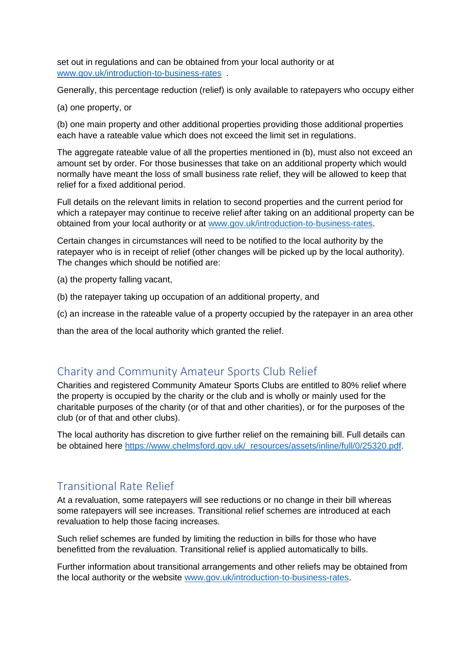set out in regulations and can be obtained from your local authority or at [www.gov.uk/introduction-to-business-rates](http://www.gov.uk/introduction-to-business-rates) .

Generally, this percentage reduction (relief) is only available to ratepayers who occupy either

(a) one property, or

(b) one main property and other additional properties providing those additional properties each have a rateable value which does not exceed the limit set in regulations.

The aggregate rateable value of all the properties mentioned in (b), must also not exceed an amount set by order. For those businesses that take on an additional property which would normally have meant the loss of small business rate relief, they will be allowed to keep that relief for a fixed additional period.

Full details on the relevant limits in relation to second properties and the current period for which a ratepayer may continue to receive relief after taking on an additional property can be obtained from your local authority or at [www.gov.uk/introduction-to-business-rates.](http://www.gov.uk/introduction-to-business-rates)

Certain changes in circumstances will need to be notified to the local authority by the ratepayer who is in receipt of relief (other changes will be picked up by the local authority). The changes which should be notified are:

(a) the property falling vacant,

(b) the ratepayer taking up occupation of an additional property, and

(c) an increase in the rateable value of a property occupied by the ratepayer in an area other

than the area of the local authority which granted the relief.

## Charity and Community Amateur Sports Club Relief

Charities and registered Community Amateur Sports Clubs are entitled to 80% relief where the property is occupied by the charity or the club and is wholly or mainly used for the charitable purposes of the charity (or of that and other charities), or for the purposes of the club (or of that and other clubs).

The local authority has discretion to give further relief on the remaining bill. Full details can be obtained here https://www.chelmsford.gov.uk/ resources/assets/inline/full/0/25320.pdf.

# Transitional Rate Relief

At a revaluation, some ratepayers will see reductions or no change in their bill whereas some ratepayers will see increases. Transitional relief schemes are introduced at each revaluation to help those facing increases.

Such relief schemes are funded by limiting the reduction in bills for those who have benefitted from the revaluation. Transitional relief is applied automatically to bills.

Further information about transitional arrangements and other reliefs may be obtained from the local authority or the website [www.gov.uk/introduction-to-business-rates.](http://www.gov.uk/introduction-to-business-rates)